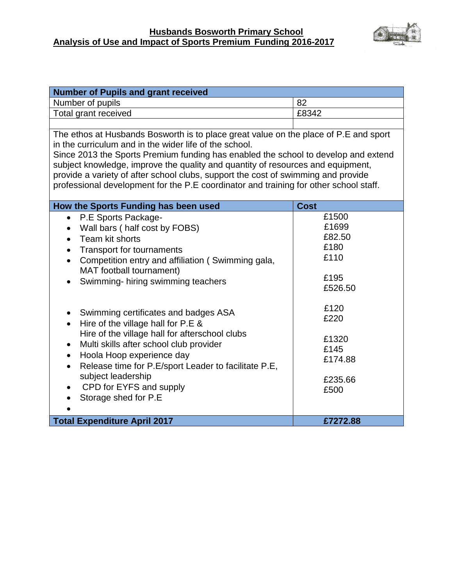#### **Husbands Bosworth Primary School Analysis of Use and Impact of Sports Premium Funding 2016-2017**



| <b>Number of Pupils and grant received</b>                                                                                                                                                                                                                                                                                                                                                                                                                                                            |                                                             |  |
|-------------------------------------------------------------------------------------------------------------------------------------------------------------------------------------------------------------------------------------------------------------------------------------------------------------------------------------------------------------------------------------------------------------------------------------------------------------------------------------------------------|-------------------------------------------------------------|--|
| Number of pupils                                                                                                                                                                                                                                                                                                                                                                                                                                                                                      | 82                                                          |  |
| Total grant received                                                                                                                                                                                                                                                                                                                                                                                                                                                                                  | £8342                                                       |  |
|                                                                                                                                                                                                                                                                                                                                                                                                                                                                                                       |                                                             |  |
| The ethos at Husbands Bosworth is to place great value on the place of P.E and sport<br>in the curriculum and in the wider life of the school.<br>Since 2013 the Sports Premium funding has enabled the school to develop and extend<br>subject knowledge, improve the quality and quantity of resources and equipment,<br>provide a variety of after school clubs, support the cost of swimming and provide<br>professional development for the P.E coordinator and training for other school staff. |                                                             |  |
| How the Sports Funding has been used                                                                                                                                                                                                                                                                                                                                                                                                                                                                  | <b>Cost</b>                                                 |  |
| P.E Sports Package-<br>$\bullet$<br>Wall bars (half cost by FOBS)<br>Team kit shorts<br>$\bullet$<br>Transport for tournaments<br>$\bullet$<br>Competition entry and affiliation (Swimming gala,<br>$\bullet$<br>MAT football tournament)<br>Swimming-hiring swimming teachers<br>$\bullet$                                                                                                                                                                                                           | £1500<br>£1699<br>£82.50<br>£180<br>£110<br>£195<br>£526.50 |  |
| Swimming certificates and badges ASA<br>$\bullet$<br>Hire of the village hall for P.E &<br>$\bullet$<br>Hire of the village hall for afterschool clubs<br>Multi skills after school club provider<br>$\bullet$<br>Hoola Hoop experience day<br>$\bullet$<br>Release time for P.E/sport Leader to facilitate P.E,<br>$\bullet$<br>subject leadership<br>CPD for EYFS and supply<br>Storage shed for P.E<br>$\bullet$                                                                                   | £120<br>£220<br>£1320<br>£145<br>£174.88<br>£235.66<br>£500 |  |
| <b>Total Expenditure April 2017</b>                                                                                                                                                                                                                                                                                                                                                                                                                                                                   | £7272.88                                                    |  |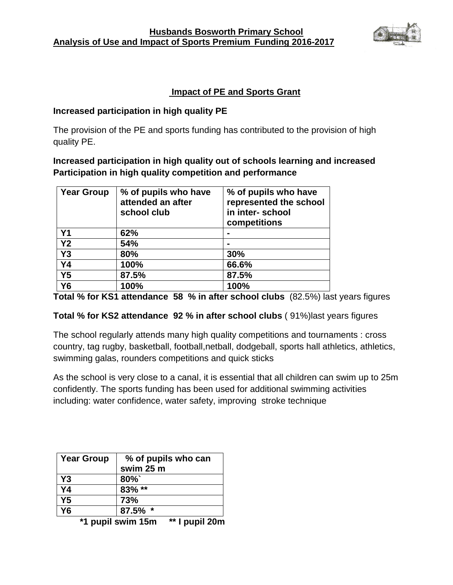

## **Impact of PE and Sports Grant**

#### **Increased participation in high quality PE**

The provision of the PE and sports funding has contributed to the provision of high quality PE.

**Increased participation in high quality out of schools learning and increased Participation in high quality competition and performance**

| <b>Year Group</b> | % of pupils who have<br>attended an after<br>school club | % of pupils who have<br>represented the school<br>in inter-school<br>competitions |
|-------------------|----------------------------------------------------------|-----------------------------------------------------------------------------------|
| Y <sub>1</sub>    | 62%                                                      |                                                                                   |
| Y <sub>2</sub>    | 54%                                                      |                                                                                   |
| Y3                | 80%                                                      | 30%                                                                               |
| <b>Y4</b>         | 100%                                                     | 66.6%                                                                             |
| <b>Y5</b>         | 87.5%                                                    | 87.5%                                                                             |
| <b>Y6</b>         | 100%                                                     | 100%                                                                              |

**Total % for KS1 attendance 58 % in after school clubs** (82.5%) last years figures

### **Total % for KS2 attendance 92 % in after school clubs** ( 91%)last years figures

The school regularly attends many high quality competitions and tournaments : cross country, tag rugby, basketball, football,netball, dodgeball, sports hall athletics, athletics, swimming galas, rounders competitions and quick sticks

As the school is very close to a canal, it is essential that all children can swim up to 25m confidently. The sports funding has been used for additional swimming activities including: water confidence, water safety, improving stroke technique

| Year Group | % of pupils who can<br>swim 25 m |
|------------|----------------------------------|
| Y3         | $80\%$                           |
| <b>Y4</b>  | 83% **                           |
| Y5         | 73%                              |
| Y6         | $87.5\%$ *                       |

**\*1 pupil swim 15m \*\* I pupil 20m**